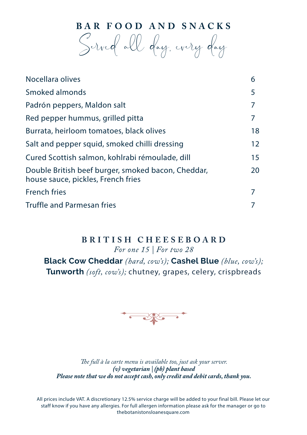**BAR FOOD AND SNACKS**

Served all day, every day

| Nocellara olives                                                                         | 6  |
|------------------------------------------------------------------------------------------|----|
| Smoked almonds                                                                           | 5  |
| Padrón peppers, Maldon salt                                                              | 7  |
| Red pepper hummus, grilled pitta                                                         | 7  |
| Burrata, heirloom tomatoes, black olives                                                 | 18 |
| Salt and pepper squid, smoked chilli dressing                                            | 12 |
| Cured Scottish salmon, kohlrabi rémoulade, dill                                          | 15 |
| Double British beef burger, smoked bacon, Cheddar,<br>house sauce, pickles, French fries | 20 |
| <b>French fries</b>                                                                      | 7  |
| <b>Truffle and Parmesan fries</b>                                                        |    |
|                                                                                          |    |

### **BRITISH CHEESEBOARD**

*For one 15 | For two 28*

**Black Cow Cheddar** *(hard, cow's);* **Cashel Blue** *(blue, cow's);* **Tunworth** *(soft, cow's);* chutney, grapes, celery, crispbreads



*The full à la carte menu is available too, just ask your server. (v) vegetarian | (pb) plant based Please note that we do not accept cash, only credit and debit cards, thank you.*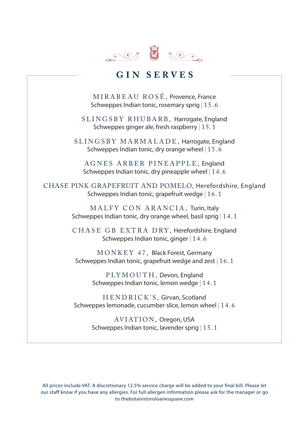

## **GIN SERVES**

MIRABEAU ROSÉ, Provence, France Schweppes Indian tonic, rosemary sprig | 15.6

SLINGSBY RHUBARB, Harrogate, England Schweppes ginger ale, fresh raspberry | 15.1

SLINGSBY MARMALADE, Harrogate, England Schweppes Indian tonic, dry orange wheel | 15.6

AGNES ARBER PINEAPPLE, England Schweppes Indian tonic, dry pineapple wheel | 14.6

CHASE PINK GRAPEFRUIT AND POMELO, Herefordshire, England Schweppes Indian tonic, grapefruit wedge | 16.1

> MALFY CON ARANCIA, Turin, Italy Schweppes Indian tonic, dry orange wheel, basil sprig | 14.1

> CHASE GB EXTRA DRY, Herefordshire, England Schweppes Indian tonic, ginger | 14.6

MONKEY 47, Black Forest, Germany Schweppes Indian tonic, grapefruit wedge and zest | 16.1

> PLYMOUTH, Devon, England Schweppes Indian tonic, lemon wedge | 14.1

HENDRICK'S, Girvan, Scotland Schweppes lemonade, cucumber slice, lemon wheel | 14.6

> AVIATION, Oregon, USA Schweppes Indian tonic, lavender sprig | 15.1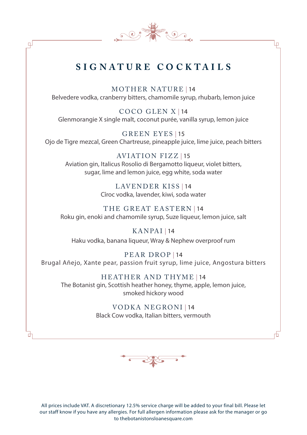## **S I G NAT U R E CO C K TA I L S**

 $\mathbb{C} \times \mathbb{R}$ 

صا

₫

MOTHER NATURE | 14 Belvedere vodka, cranberry bitters, chamomile syrup, rhubarb, lemon juice

COCO GLEN X | 14 Glenmorangie X single malt, coconut purée, vanilla syrup, lemon juice

GREEN EYES | 15 Ojo de Tigre mezcal, Green Chartreuse, pineapple juice, lime juice, peach bitters

AVIATION FIZZ | 15 Aviation gin, Italicus Rosolio di Bergamotto liqueur, violet bitters, sugar, lime and lemon juice, egg white, soda water

> LAVENDER KISS | 14 Cîroc vodka, lavender, kiwi, soda water

THE GREAT EASTERN | 14 Roku gin, enoki and chamomile syrup, Suze liqueur, lemon juice, salt

KANPAI | 14 Haku vodka, banana liqueur, Wray & Nephew overproof rum

PEAR DROP | 14 Brugal Añejo, Xante pear, passion fruit syrup, lime juice, Angostura bitters

HEATHER AND THYME | 14 The Botanist gin, Scottish heather honey, thyme, apple, lemon juice, smoked hickory wood

> VODKA NEGRONI | 14 Black Cow vodka, Italian bitters, vermouth

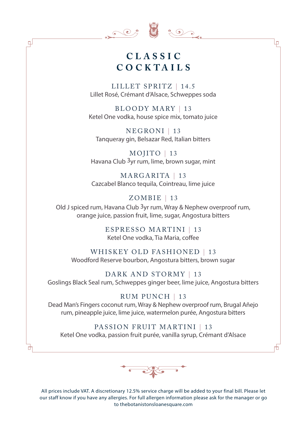

 $\Box$ 

 $\begin{array}{c} \circ \\ \circ \\ \circ \end{array}$ 

Lп

## **CLASSIC CO C KTA I L S**

LILLET SPRITZ | 14.5 Lillet Rosé, Crémant d'Alsace, Schweppes soda

BLOODY MARY | 13 Ketel One vodka, house spice mix, tomato juice

NEGRONI | 13 Tanqueray gin, Belsazar Red, Italian bitters

MOJITO | 13 Havana Club 3yr rum, lime, brown sugar, mint

MARGARITA | 13 Cazcabel Blanco tequila, Cointreau, lime juice

#### ZOMBIE | 13

Old J spiced rum, Havana Club 3yr rum, Wray & Nephew overproof rum, orange juice, passion fruit, lime, sugar, Angostura bitters

> ESPRESSO MARTINI | 13 Ketel One vodka, Tia Maria, coffee

WHISKEY OLD FASHIONED | 13 Woodford Reserve bourbon, Angostura bitters, brown sugar

DARK AND STORMY | 13 Goslings Black Seal rum, Schweppes ginger beer, lime juice, Angostura bitters

#### RUM PUNCH | 13

Dead Man's Fingers coconut rum, Wray & Nephew overproof rum, Brugal Añejo rum, pineapple juice, lime juice, watermelon purée, Angostura bitters

#### PASSION FRUIT MARTINI | 13

Ketel One vodka, passion fruit purée, vanilla syrup, Crémant d'Alsace

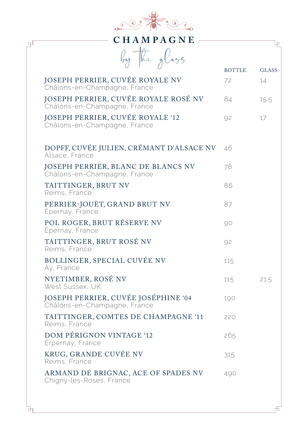

| CHAMPAGNE<br>₽                                                          |               |              |
|-------------------------------------------------------------------------|---------------|--------------|
| by the glass                                                            | <b>BOTTLE</b> | <b>GLASS</b> |
| JOSEPH PERRIER, CUVÉE ROYALE NV<br>Châlons-en-Champagne, France         | 72            | 14           |
| JOSEPH PERRIER, CUVÉE ROYALE ROSÉ NV<br>Châlons-en-Champagne, France    | 84            | 15.5         |
| <b>JOSEPH PERRIER, CUVÉE ROYALE '12</b><br>Châlons-en-Champagne, France | 92            | 17           |
| DOPFF, CUVÉE JULIEN, CRÉMANT D'ALSACE NV<br>Alsace, France              | 46            |              |
| JOSEPH PERRIER, BLANC DE BLANCS NV<br>Châlons-en-Champagne, France      | 78            |              |
| TAITTINGER, BRUT NV<br>Reims, France                                    | 86            |              |
| PERRIER-JOUËT, GRAND BRUT NV<br>Épernay, France                         | 87            |              |
| POL ROGER, BRUT RÉSERVE NV<br>Épernay, France                           | 90            |              |
| TAITTINGER, BRUT ROSÉ NV<br>Reims, France                               | 92            |              |
| BOLLINGER, SPECIAL CUVÉE NV<br>Aÿ, France                               | 115           |              |
| NYETIMBER, ROSÉ NV<br>West Sussex, UK                                   | 115           | 21.5         |
| JOSEPH PERRIER, CUVÉE JOSÉPHINE '04<br>Châlons-en-Champagne, France     | 190           |              |
| TAITTINGER, COMTES DE CHAMPAGNE '11<br>Reims, France                    | 220           |              |
| DOM PÉRIGNON VINTAGE '12<br>Érpernay, France                            | 265           |              |
| KRUG, GRANDE CUVÉE NV<br>Reims, France                                  | 315           |              |
| ARMAND DE BRIGNAC, ACE OF SPADES NV<br>Chigny-les-Roses, France         | 490           |              |

舌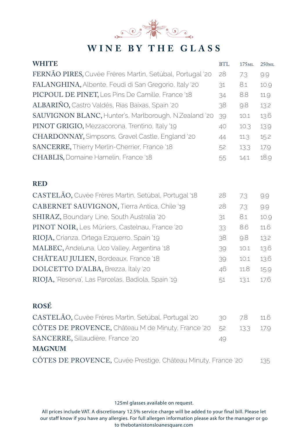

# **WINE BY THE GLASS**

| <b>WHITE</b>                                                  | <b>BTL</b> | 175ML | 250ML |
|---------------------------------------------------------------|------------|-------|-------|
| FERNÃO PIRES, Cuvée Frères Martin, Setúbal, Portugal '20      | 28         | 7.3   | 9.9   |
| FALANGHINA, Albente, Feudi di San Gregorio, Italy '20         | 31         | 8.1   | 10.9  |
| PICPOUL DE PINET, Les Pins De Camille, France '18             | 34         | 8.8   | 11.9  |
| ALBARIÑO, Castro Valdés, Rías Baíxas, Spain '20               | 38         | 9.8   | 13.2  |
| SAUVIGNON BLANC, Hunter's, Marlborough, N.Zealand '20         | 39         | 10.1  | 13.6  |
| PINOT GRIGIO, Mezzacorona, Trentino, Italy '19                | 40         | 10.3  | 13.9  |
| CHARDONNAY, Simpsons, Gravel Castle, England '20              | 44         | 11.3  | 15.2  |
| SANCERRE, Thierry Merlin-Cherrier, France '18                 | 52         | 13.3  | 17.9  |
| <b>CHABLIS, Domaine Hamelin, France '18</b>                   | 55         | 14.1  | 18.9  |
| <b>RED</b>                                                    |            |       |       |
| CASTELÃO, Cuvée Frères Martin, Setúbal, Portugal '18          | 28         | 7.3   | 9.9   |
| CABERNET SAUVIGNON, Tierra Antica, Chile '19                  | 28         | 7.3   | 9.9   |
| SHIRAZ, Boundary Line, South Australia '20                    | 31         | 8.1   | 10.9  |
| PINOT NOIR, Les Mûriers, Castelnau, France '20                | 33         | 8.6   | 11.6  |
| RIOJA, Crianza, Ortega Ezquerro, Spain '19                    | 38         | 9.8   | 13.2  |
| MALBEC, Andeluna, Uco Valley, Argentina '18                   | 39         | 10.1  | 13.6  |
| CHÂTEAU JULIEN, Bordeaux, France '18                          | 39         | 10.1  | 13.6  |
| DOLCETTO D'ALBA, Brezza, Italy '20                            | 46         | 11.8  | 15.9  |
| RIOJA, 'Reserva', Las Parcelas, Badiola, Spain '19            | 51         | 13.1  | 17.6  |
| <b>ROSÉ</b>                                                   |            |       |       |
| CASTELÃO, Cuvée Frères Martin, Setúbal, Portugal '20          | 30         | 7.8   | 11.6  |
| CÔTES DE PROVENCE, Château M de Minuty, France '20            | 52         | 13.3  | 17.9  |
| SANCERRE, Sillaudière, France '20                             | 49         |       |       |
| <b>MAGNUM</b>                                                 |            |       |       |
| CÔTES DE PROVENCE, Cuvée Prestige, Château Minuty, France '20 |            |       | 135   |

125ml glasses available on request.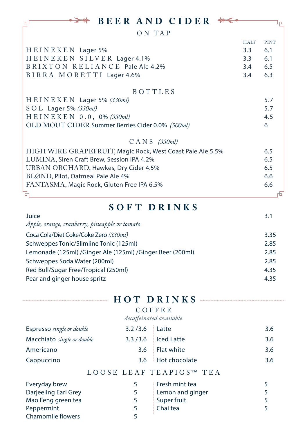| <b>BEER AND CIDER</b>                                      |             |             |
|------------------------------------------------------------|-------------|-------------|
| ON TAP                                                     |             |             |
|                                                            | <b>HALF</b> | <b>PINT</b> |
| HEINEKEN Lager 5%                                          | 3.3         | 6.1         |
| HEINEKEN SILVER Lager 4.1%                                 | 3.3         | 6.1         |
| BRIXTON RELIANCE Pale Ale 4.2%                             | 3.4         | 6.5         |
| BIRRA MORETTI Lager 4.6%                                   | 3.4         | 6.3         |
| <b>BOTTLES</b>                                             |             |             |
| $H E I N E K E N$ Lager 5% (330ml)                         |             | 5.7         |
| $S$ O L Lager 5% (330ml)                                   |             | 5.7         |
| H E I N E K E N 0.0, 0% (330 ml)                           |             | 4.5         |
| OLD MOUT CIDER Summer Berries Cider 0.0% (500ml)           |             | 6           |
| $CANS$ (330ml)                                             |             |             |
| HIGH WIRE GRAPEFRUIT, Magic Rock, West Coast Pale Ale 5.5% |             | 6.5         |
| LUMINA, Siren Craft Brew, Session IPA 4.2%                 |             | 6.5         |
| URBAN ORCHARD, Hawkes, Dry Cider 4.5%                      |             | 6.5         |
| BLØND, Pilot, Oatmeal Pale Ale 4%                          |             | 6.6         |
| FANTASMA, Magic Rock, Gluten Free IPA 6.5%                 |             | 6.6         |
| 由                                                          |             |             |

## **SOFT DRINKS**

| Juice                                                     | 3.1  |
|-----------------------------------------------------------|------|
| Apple, orange, cranberry, pineapple or tomato             |      |
| Coca Cola/Diet Coke/Coke Zero (330ml)                     | 3.35 |
| Schweppes Tonic/Slimline Tonic (125ml)                    | 2.85 |
| Lemonade (125ml) /Ginger Ale (125ml) /Ginger Beer (200ml) | 2.85 |
| Schweppes Soda Water (200ml)                              | 2.85 |
| Red Bull/Sugar Free/Tropical (250ml)                      | 4.35 |
| Pear and ginger house spritz                              | 4.35 |

|                                  |           | HOT DRINKS              |     |
|----------------------------------|-----------|-------------------------|-----|
|                                  |           | COFFEE                  |     |
|                                  |           | decaffeinated available |     |
| <b>Espresso</b> single or double | 3.2 / 3.6 | Latte                   | 3.6 |
| Macchiato single or double       | 3.3/3.6   | <b>Iced Latte</b>       | 3.6 |
| Americano                        | 3.6       | Flat white              | 3.6 |
| Cappuccino                       | 3.6       | Hot chocolate           | 3.6 |
|                                  |           | LOOSE LEAF TEAPIGS™ TEA |     |
| Everyday brew                    | 5         | Fresh mint tea          | 5   |
| Darjeeling Earl Grey             | 5         | Lemon and ginger        | 5   |
| Mao Feng green tea               | 5         | Super fruit             | 5   |
| Peppermint                       | 5         | Chai tea                | 5   |
| <b>Chamomile flowers</b>         | 5         |                         |     |